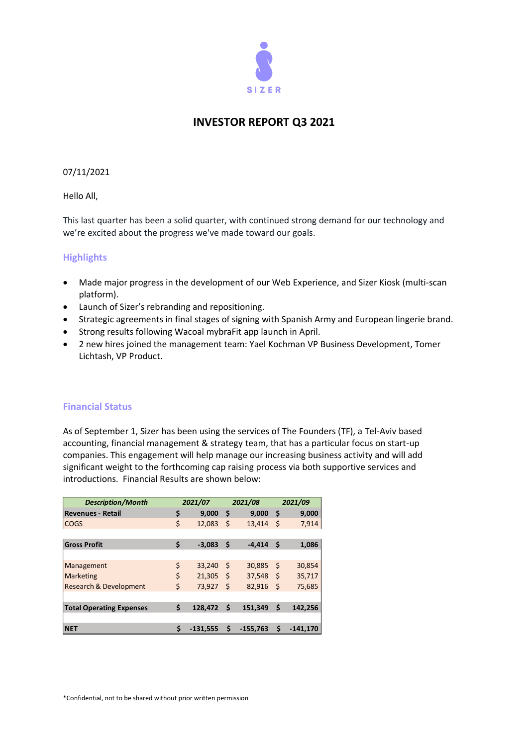

# **INVESTOR REPORT Q3 2021**

# 07/11/2021

Hello All,

This last quarter has been a solid quarter, with continued strong demand for our technology and we're excited about the progress we've made toward our goals.

# **Highlights**

- Made major progress in the development of our Web Experience, and Sizer Kiosk (multi-scan platform).
- Launch of Sizer's rebranding and repositioning.
- Strategic agreements in final stages of signing with Spanish Army and European lingerie brand.
- Strong results following Wacoal mybraFit app launch in April.
- 2 new hires joined the management team: Yael Kochman VP Business Development, Tomer Lichtash, VP Product.

# **Financial Status**

As of September 1, Sizer has been using the services of The Founders (TF), a Tel-Aviv based accounting, financial management & strategy team, that has a particular focus on start-up companies. This engagement will help manage our increasing business activity and will add significant weight to the forthcoming cap raising process via both supportive services and introductions. Financial Results are shown below:

| <b>Description/Month</b>          | 2021/07 |            | 2021/08 |            | 2021/09 |            |
|-----------------------------------|---------|------------|---------|------------|---------|------------|
| <b>Revenues - Retail</b>          | \$      | 9,000      | \$      | 9,000      | \$      | 9,000      |
| <b>COGS</b>                       | \$      | 12,083     | \$      | 13,414     | \$      | 7,914      |
|                                   |         |            |         |            |         |            |
| <b>Gross Profit</b>               | \$      | $-3,083$   | \$      | $-4.414$   | -\$     | 1,086      |
|                                   |         |            |         |            |         |            |
| Management                        | \$      | 33,240     | \$      | 30,885     | -\$     | 30,854     |
| <b>Marketing</b>                  | \$      | 21,305     | -\$     | 37,548     | -\$     | 35,717     |
| <b>Research &amp; Development</b> | \$      | 73,927     | Ś       | 82,916     | -\$     | 75,685     |
|                                   |         |            |         |            |         |            |
| <b>Total Operating Expenses</b>   | \$      | 128,472    | Ś       | 151,349    | \$      | 142,256    |
|                                   |         |            |         |            |         |            |
| <b>NET</b>                        | \$      | $-131.555$ | \$      | $-155.763$ | Ś       | $-141.170$ |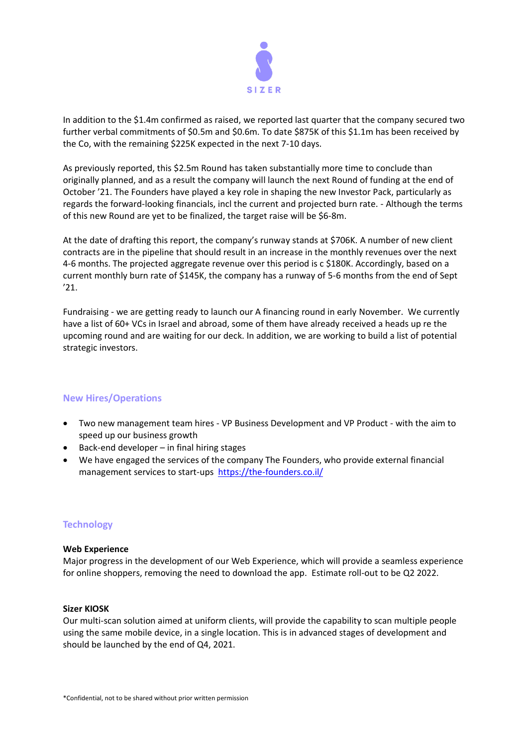

In addition to the \$1.4m confirmed as raised, we reported last quarter that the company secured two further verbal commitments of \$0.5m and \$0.6m. To date \$875K of this \$1.1m has been received by the Co, with the remaining \$225K expected in the next 7-10 days.

As previously reported, this \$2.5m Round has taken substantially more time to conclude than originally planned, and as a result the company will launch the next Round of funding at the end of October '21. The Founders have played a key role in shaping the new Investor Pack, particularly as regards the forward-looking financials, incl the current and projected burn rate. - Although the terms of this new Round are yet to be finalized, the target raise will be \$6-8m.

At the date of drafting this report, the company's runway stands at \$706K. A number of new client contracts are in the pipeline that should result in an increase in the monthly revenues over the next 4-6 months. The projected aggregate revenue over this period is c \$180K. Accordingly, based on a current monthly burn rate of \$145K, the company has a runway of 5-6 months from the end of Sept '21.

Fundraising - we are getting ready to launch our A financing round in early November. We currently have a list of 60+ VCs in Israel and abroad, some of them have already received a heads up re the upcoming round and are waiting for our deck. In addition, we are working to build a list of potential strategic investors.

# **New Hires/Operations**

- Two new management team hires VP Business Development and VP Product with the aim to speed up our business growth
- Back-end developer in final hiring stages
- We have engaged the services of the company The Founders, who provide external financial management services to start-ups <https://the-founders.co.il/>

# **Technology**

# **Web Experience**

Major progress in the development of our Web Experience, which will provide a seamless experience for online shoppers, removing the need to download the app. Estimate roll-out to be Q2 2022.

#### **Sizer KIOSK**

Our multi-scan solution aimed at uniform clients, will provide the capability to scan multiple people using the same mobile device, in a single location. This is in advanced stages of development and should be launched by the end of Q4, 2021.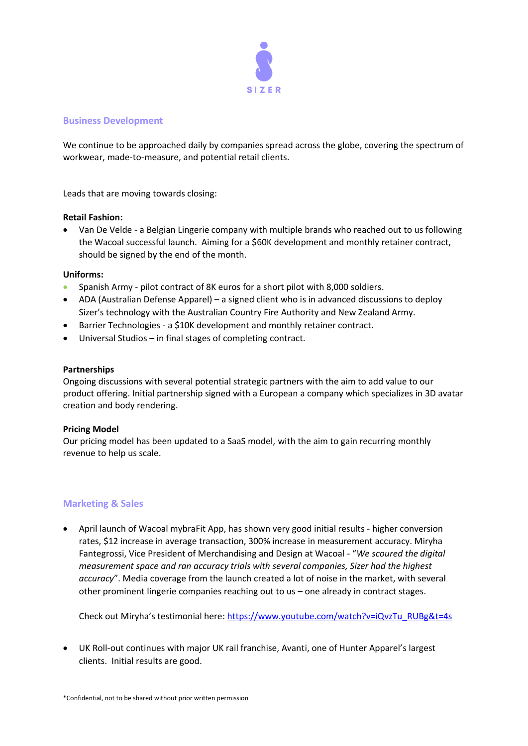

# **Business Development**

We continue to be approached daily by companies spread across the globe, covering the spectrum of workwear, made-to-measure, and potential retail clients.

Leads that are moving towards closing:

# **Retail Fashion:**

• Van De Velde - a Belgian Lingerie company with multiple brands who reached out to us following the Wacoal successful launch. Aiming for a \$60K development and monthly retainer contract, should be signed by the end of the month.

# **Uniforms:**

- Spanish Army pilot contract of 8K euros for a short pilot with 8,000 soldiers.
- ADA (Australian Defense Apparel) a signed client who is in advanced discussions to deploy Sizer's technology with the Australian Country Fire Authority and New Zealand Army.
- Barrier Technologies a \$10K development and monthly retainer contract.
- Universal Studios in final stages of completing contract.

# **Partnerships**

Ongoing discussions with several potential strategic partners with the aim to add value to our product offering. Initial partnership signed with a European a company which specializes in 3D avatar creation and body rendering.

# **Pricing Model**

Our pricing model has been updated to a SaaS model, with the aim to gain recurring monthly revenue to help us scale.

# **Marketing & Sales**

• April launch of Wacoal mybraFit App, has shown very good initial results - higher conversion rates, \$12 increase in average transaction, 300% increase in measurement accuracy. Miryha Fantegrossi, Vice President of Merchandising and Design at Wacoal - "*We scoured the digital measurement space and ran accuracy trials with several companies, Sizer had the highest accuracy*". Media coverage from the launch created a lot of noise in the market, with several other prominent lingerie companies reaching out to us – one already in contract stages.

Check out Miryha's testimonial here: [https://www.youtube.com/watch?v=iQvzTu\\_RUBg&t=4s](https://www.youtube.com/watch?v=iQvzTu_RUBg&t=4s)

• UK Roll-out continues with major UK rail franchise, Avanti, one of Hunter Apparel's largest clients. Initial results are good.